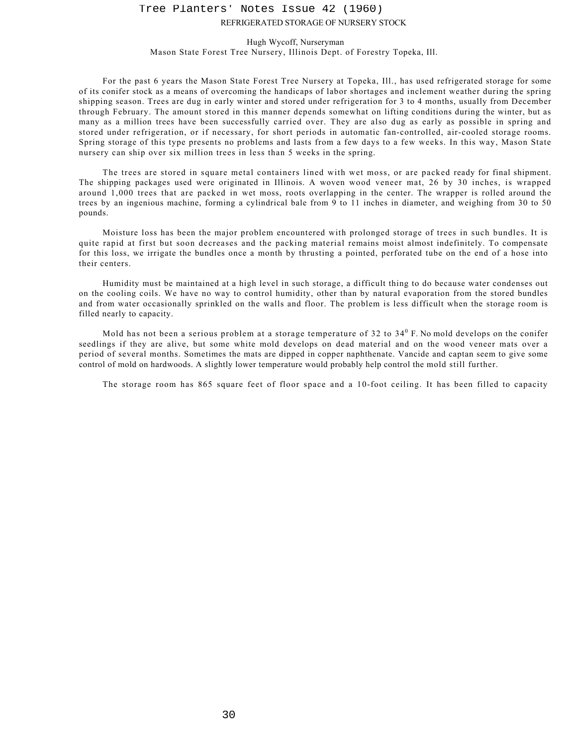## REFRIGERATED STORAGE OF NURSERY STOCK Tree Planters' Notes Issue 42 (1960)

## Hugh Wycoff, Nurseryman

Mason State Forest Tree Nursery, Illinois Dept. of Forestry Topeka, Ill.

For the past 6 years the Mason State Forest Tree Nursery at Topeka, Ill., has used refrigerated storage for some of its conifer stock as a means of overcoming the handicaps of labor shortages and inclement weather during the spring shipping season. Trees are dug in early winter and stored under refrigeration for 3 to 4 months, usually from December through February. The amount stored in this manner depends somewhat on lifting conditions during the winter, but as many as a million trees have been successfully carried over. They are also dug as early as possible in spring and stored under refrigeration, or if necessary, for short periods in automatic fan-controlled, air-cooled storage rooms. Spring storage of this type presents no problems and lasts from a few days to a few weeks. In this way, Mason State nursery can ship over six million trees in less than 5 weeks in the spring.

The trees are stored in square metal containers lined with wet moss, or are packed ready for final shipment. The shipping packages used were originated in Illinois. A woven wood veneer mat, 26 by 30 inches, is wrapped around 1,000 trees that are packed in wet moss, roots overlapping in the center. The wrapper is rolled around the trees by an ingenious machine, forming a cylindrical bale from 9 to 11 inches in diameter, and weighing from 30 to 50 pounds.

Moisture loss has been the major problem encountered with prolonged storage of trees in such bundles. It is quite rapid at first but soon decreases and the packing material remains moist almost indefinitely. To compensate for this loss, we irrigate the bundles once a month by thrusting a pointed, perforated tube on the end of a hose into their centers.

Humidity must be maintained at a high level in such storage, a difficult thing to do because water condenses out on the cooling coils. We have no way to control humidity, other than by natural evaporation from the stored bundles and from water occasionally sprinkled on the walls and floor. The problem is less difficult when the storage room is filled nearly to capacity.

Mold has not been a serious problem at a storage temperature of 32 to 34 $^0$  F. No mold develops on the conifer seedlings if they are alive, but some white mold develops on dead material and on the wood veneer mats over a period of several months. Sometimes the mats are dipped in copper naphthenate. Vancide and captan seem to give some control of mold on hardwoods. A slightly lower temperature would probably help control the mold still further.

The storage room has 865 square feet of floor space and a 10-foot ceiling. It has been filled to capacity